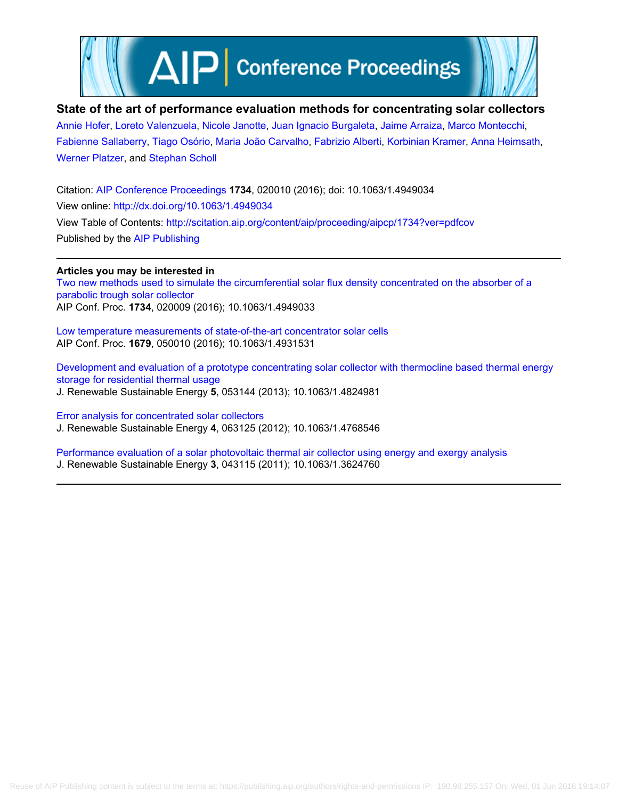

# **State of the art of performance evaluation methods for concentrating solar collectors**

[Annie Hofer,](http://scitation.aip.org/search?value1=Annie+Hofer&option1=author) [Loreto Valenzuela,](http://scitation.aip.org/search?value1=Loreto+Valenzuela&option1=author) [Nicole Janotte,](http://scitation.aip.org/search?value1=Nicole+Janotte&option1=author) [Juan Ignacio Burgaleta,](http://scitation.aip.org/search?value1=Juan+Ignacio+Burgaleta&option1=author) [Jaime Arraiza](http://scitation.aip.org/search?value1=Jaime+Arraiza&option1=author), [Marco Montecchi,](http://scitation.aip.org/search?value1=Marco+Montecchi&option1=author) [Fabienne Sallaberry](http://scitation.aip.org/search?value1=Fabienne+Sallaberry&option1=author), [Tiago Osório](http://scitation.aip.org/search?value1=Tiago+Os�rio&option1=author), [Maria João Carvalho,](http://scitation.aip.org/search?value1=Maria+Jo�o+Carvalho&option1=author) [Fabrizio Alberti](http://scitation.aip.org/search?value1=Fabrizio+Alberti&option1=author), [Korbinian Kramer](http://scitation.aip.org/search?value1=Korbinian+Kramer&option1=author), [Anna Heimsath](http://scitation.aip.org/search?value1=Anna+Heimsath&option1=author), [Werner Platzer,](http://scitation.aip.org/search?value1=Werner+Platzer&option1=author) and [Stephan Scholl](http://scitation.aip.org/search?value1=Stephan+Scholl&option1=author)

Citation: [AIP Conference Proceedings](http://scitation.aip.org/content/aip/proceeding/aipcp?ver=pdfcov) **1734**, 020010 (2016); doi: 10.1063/1.4949034 View online: <http://dx.doi.org/10.1063/1.4949034> View Table of Contents: <http://scitation.aip.org/content/aip/proceeding/aipcp/1734?ver=pdfcov> Published by the [AIP Publishing](http://scitation.aip.org/content/aip?ver=pdfcov)

**Articles you may be interested in** [Two new methods used to simulate the circumferential solar flux density concentrated on the absorber of a](http://scitation.aip.org/content/aip/proceeding/aipcp/10.1063/1.4949033?ver=pdfcov) [parabolic trough solar collector](http://scitation.aip.org/content/aip/proceeding/aipcp/10.1063/1.4949033?ver=pdfcov) AIP Conf. Proc. **1734**, 020009 (2016); 10.1063/1.4949033

[Low temperature measurements of state-of-the-art concentrator solar cells](http://scitation.aip.org/content/aip/proceeding/aipcp/10.1063/1.4931531?ver=pdfcov) AIP Conf. Proc. **1679**, 050010 (2016); 10.1063/1.4931531

[Development and evaluation of a prototype concentrating solar collector with thermocline based thermal energy](http://scitation.aip.org/content/aip/journal/jrse/5/5/10.1063/1.4824981?ver=pdfcov) [storage for residential thermal usage](http://scitation.aip.org/content/aip/journal/jrse/5/5/10.1063/1.4824981?ver=pdfcov) J. Renewable Sustainable Energy **5**, 053144 (2013); 10.1063/1.4824981

[Error analysis for concentrated solar collectors](http://scitation.aip.org/content/aip/journal/jrse/4/6/10.1063/1.4768546?ver=pdfcov) J. Renewable Sustainable Energy **4**, 063125 (2012); 10.1063/1.4768546

[Performance evaluation of a solar photovoltaic thermal air collector using energy and exergy analysis](http://scitation.aip.org/content/aip/journal/jrse/3/4/10.1063/1.3624760?ver=pdfcov) J. Renewable Sustainable Energy **3**, 043115 (2011); 10.1063/1.3624760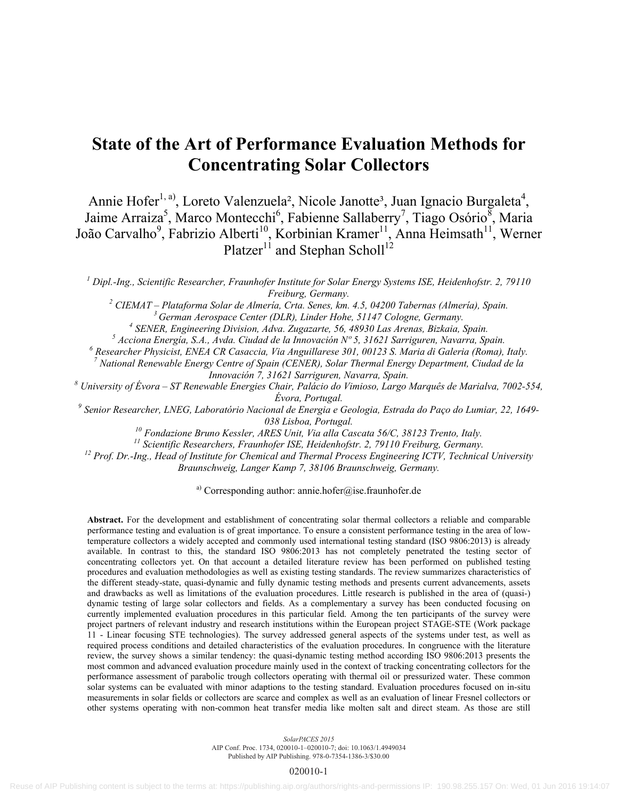# **State of the Art of Performance Evaluation Methods for Concentrating Solar Collectors**

Annie Hofer<sup>1, a)</sup>, Loreto Valenzuela<sup>2</sup>, Nicole Janotte<sup>3</sup>, Juan Ignacio Burgaleta<sup>4</sup>, Jaime Arraiza<sup>5</sup>, Marco Montecchi<sup>6</sup>, Fabienne Sallaberry<sup>7</sup>, Tiago Osório<sup>8</sup>, Maria João Carvalho<sup>9</sup>, Fabrizio Alberti<sup>10</sup>, Korbinian Kramer<sup>11</sup>, Anna Heimsath<sup>11</sup>, Werner Platzer<sup>11</sup> and Stephan Scholl<sup>12</sup>

*1 Dipl.-Ing., Scientific Researcher, Fraunhofer Institute for Solar Energy Systems ISE, Heidenhofstr. 2, 79110 Freiburg, Germany. 2*

 *CIEMAT – Plataforma Solar de Almería, Crta. Senes, km. 4.5, 04200 Tabernas (Almería), Spain. 3 German Aerospace Center (DLR), Linder Hohe, 51147 Cologne, Germany. 4*

<sup>4</sup> SENER, Engineering Division, Adva. Zugazarte, 56, 48930 Las Arenas, Bizkaia, Spain.<br><sup>5</sup> Assista Engusta, S. A., Anda, Giudad de la Innovación Nº 5, 31621 Santiguran, Navanna, Sp

 *Acciona Energía, S.A., Avda. Ciudad de la Innovación Nº 5, 31621 Sarriguren, Navarra, Spain. 6*

 *Researcher Physicist, ENEA CR Casaccia, Via Anguillarese 301, 00123 S. Maria di Galeria (Roma), Italy. 7*

 *National Renewable Energy Centre of Spain (CENER), Solar Thermal Energy Department, Ciudad de la* 

*Innovación 7, 31621 Sarriguren, Navarra, Spain. 8 University of Évora – ST Renewable Energies Chair, Palácio do Vimioso, Largo Marquês de Marialva, 7002-554,* 

*Évora, Portugal. 9 Senior Researcher, LNEG, Laboratório Nacional de Energia e Geologia, Estrada do Paço do Lumiar, 22, 1649-* 038 Lisboa, Portugal.<br><sup>10</sup> Fondazione Bruno Kessler, ARES Unit, Via alla Cascata 56/C, 38123 Trento, Italy.<br><sup>11</sup> Scientific Researchers, Fraunhofer ISE, Heidenhofstr. 2, 79110 Freiburg, Germany.<br><sup>12</sup> Prof. Dr.-Ing., Head o

*Braunschweig, Langer Kamp 7, 38106 Braunschweig, Germany.* 

<sup>a)</sup> Corresponding author: annie.hofer@ise.fraunhofer.de

**Abstract.** For the development and establishment of concentrating solar thermal collectors a reliable and comparable performance testing and evaluation is of great importance. To ensure a consistent performance testing in the area of lowtemperature collectors a widely accepted and commonly used international testing standard (ISO 9806:2013) is already available. In contrast to this, the standard ISO 9806:2013 has not completely penetrated the testing sector of concentrating collectors yet. On that account a detailed literature review has been performed on published testing procedures and evaluation methodologies as well as existing testing standards. The review summarizes characteristics of the different steady-state, quasi-dynamic and fully dynamic testing methods and presents current advancements, assets and drawbacks as well as limitations of the evaluation procedures. Little research is published in the area of (quasi-) dynamic testing of large solar collectors and fields. As a complementary a survey has been conducted focusing on currently implemented evaluation procedures in this particular field. Among the ten participants of the survey were project partners of relevant industry and research institutions within the European project STAGE-STE (Work package 11 - Linear focusing STE technologies). The survey addressed general aspects of the systems under test, as well as required process conditions and detailed characteristics of the evaluation procedures. In congruence with the literature review, the survey shows a similar tendency: the quasi-dynamic testing method according ISO 9806:2013 presents the most common and advanced evaluation procedure mainly used in the context of tracking concentrating collectors for the performance assessment of parabolic trough collectors operating with thermal oil or pressurized water. These common solar systems can be evaluated with minor adaptions to the testing standard. Evaluation procedures focused on in-situ measurements in solar fields or collectors are scarce and complex as well as an evaluation of linear Fresnel collectors or other systems operating with non-common heat transfer media like molten salt and direct steam. As those are still

*SolarPACES 2015*

AIP Conf. Proc. 1734, 020010-1–020010-7; doi: 10.1063/1.4949034

Published by AIP Publishing. 978-0-7354-1386-3/\$30.00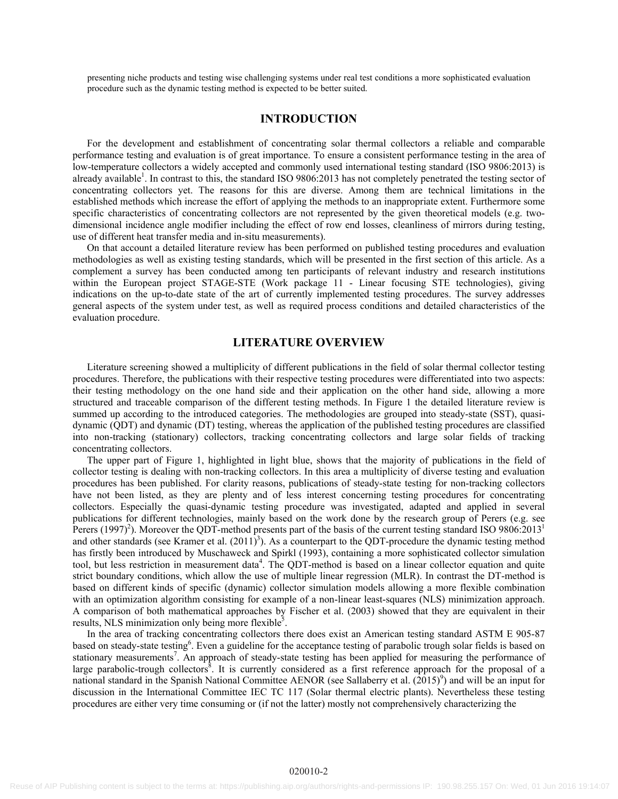presenting niche products and testing wise challenging systems under real test conditions a more sophisticated evaluation procedure such as the dynamic testing method is expected to be better suited.

## **INTRODUCTION**

For the development and establishment of concentrating solar thermal collectors a reliable and comparable performance testing and evaluation is of great importance. To ensure a consistent performance testing in the area of low-temperature collectors a widely accepted and commonly used international testing standard (ISO 9806:2013) is already available<sup>1</sup>. In contrast to this, the standard ISO 9806:2013 has not completely penetrated the testing sector of concentrating collectors yet. The reasons for this are diverse. Among them are technical limitations in the established methods which increase the effort of applying the methods to an inappropriate extent. Furthermore some specific characteristics of concentrating collectors are not represented by the given theoretical models (e.g. twodimensional incidence angle modifier including the effect of row end losses, cleanliness of mirrors during testing, use of different heat transfer media and in-situ measurements).

On that account a detailed literature review has been performed on published testing procedures and evaluation methodologies as well as existing testing standards, which will be presented in the first section of this article. As a complement a survey has been conducted among ten participants of relevant industry and research institutions within the European project STAGE-STE (Work package 11 - Linear focusing STE technologies), giving indications on the up-to-date state of the art of currently implemented testing procedures. The survey addresses general aspects of the system under test, as well as required process conditions and detailed characteristics of the evaluation procedure.

#### **LITERATURE OVERVIEW**

Literature screening showed a multiplicity of different publications in the field of solar thermal collector testing procedures. Therefore, the publications with their respective testing procedures were differentiated into two aspects: their testing methodology on the one hand side and their application on the other hand side, allowing a more structured and traceable comparison of the different testing methods. In Figure 1 the detailed literature review is summed up according to the introduced categories. The methodologies are grouped into steady-state (SST), quasidynamic (QDT) and dynamic (DT) testing, whereas the application of the published testing procedures are classified into non-tracking (stationary) collectors, tracking concentrating collectors and large solar fields of tracking concentrating collectors.

The upper part of Figure 1, highlighted in light blue, shows that the majority of publications in the field of collector testing is dealing with non-tracking collectors. In this area a multiplicity of diverse testing and evaluation procedures has been published. For clarity reasons, publications of steady-state testing for non-tracking collectors have not been listed, as they are plenty and of less interest concerning testing procedures for concentrating collectors. Especially the quasi-dynamic testing procedure was investigated, adapted and applied in several publications for different technologies, mainly based on the work done by the research group of Perers (e.g. see Perers (1997)<sup>2</sup>). Moreover the QDT-method presents part of the basis of the current testing standard ISO 9806:2013<sup>1</sup> and other standards (see Kramer et al.  $(2011)^3$ ). As a counterpart to the QDT-procedure the dynamic testing method has firstly been introduced by Muschaweck and Spirkl (1993), containing a more sophisticated collector simulation tool, but less restriction in measurement data<sup>4</sup>. The QDT-method is based on a linear collector equation and quite strict boundary conditions, which allow the use of multiple linear regression (MLR). In contrast the DT-method is based on different kinds of specific (dynamic) collector simulation models allowing a more flexible combination with an optimization algorithm consisting for example of a non-linear least-squares (NLS) minimization approach. A comparison of both mathematical approaches by Fischer et al. (2003) showed that they are equivalent in their results, NLS minimization only being more flexible<sup>5</sup>.

In the area of tracking concentrating collectors there does exist an American testing standard ASTM E 905-87 based on steady-state testing<sup>6</sup>. Even a guideline for the acceptance testing of parabolic trough solar fields is based on stationary measurements<sup>7</sup>. An approach of steady-state testing has been applied for measuring the performance of large parabolic-trough collectors<sup>8</sup>. It is currently considered as a first reference approach for the proposal of a national standard in the Spanish National Committee AENOR (see Sallaberry et al. (2015)<sup>9</sup>) and will be an input for discussion in the International Committee IEC TC 117 (Solar thermal electric plants). Nevertheless these testing procedures are either very time consuming or (if not the latter) mostly not comprehensively characterizing the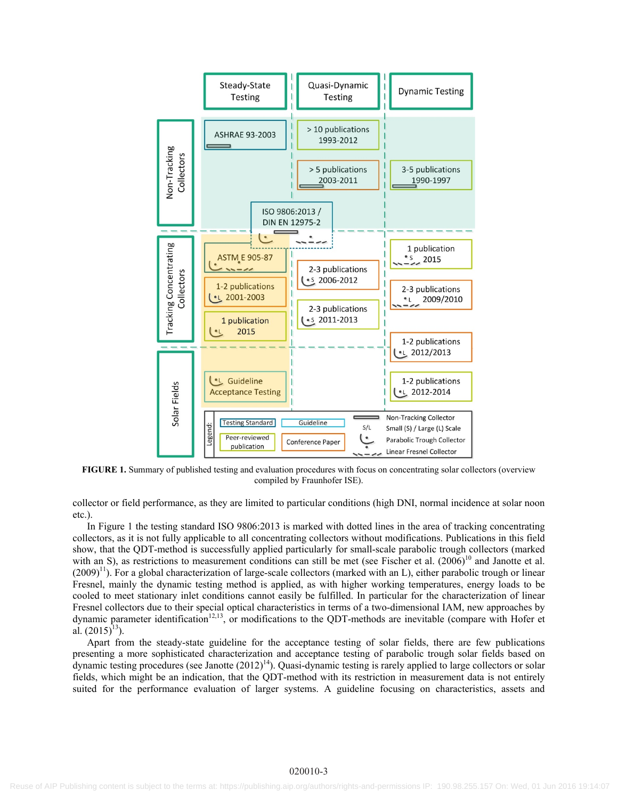

**FIGURE 1.** Summary of published testing and evaluation procedures with focus on concentrating solar collectors (overview compiled by Fraunhofer ISE).

collector or field performance, as they are limited to particular conditions (high DNI, normal incidence at solar noon etc.).

In Figure 1 the testing standard ISO 9806:2013 is marked with dotted lines in the area of tracking concentrating collectors, as it is not fully applicable to all concentrating collectors without modifications. Publications in this field show, that the QDT-method is successfully applied particularly for small-scale parabolic trough collectors (marked with an S), as restrictions to measurement conditions can still be met (see Fischer et al.  $(2006)^{10}$  and Janotte et al.  $(2009)^{11}$ ). For a global characterization of large-scale collectors (marked with an L), either parabolic trough or linear Fresnel, mainly the dynamic testing method is applied, as with higher working temperatures, energy loads to be cooled to meet stationary inlet conditions cannot easily be fulfilled. In particular for the characterization of linear Fresnel collectors due to their special optical characteristics in terms of a two-dimensional IAM, new approaches by dynamic parameter identification<sup>12,13</sup>, or modifications to the QDT-methods are inevitable (compare with Hofer et al.  $(2015)^{13}$ ).

Apart from the steady-state guideline for the acceptance testing of solar fields, there are few publications presenting a more sophisticated characterization and acceptance testing of parabolic trough solar fields based on dynamic testing procedures (see Janotte  $(2012)^{14}$ ). Quasi-dynamic testing is rarely applied to large collectors or solar fields, which might be an indication, that the QDT-method with its restriction in measurement data is not entirely suited for the performance evaluation of larger systems. A guideline focusing on characteristics, assets and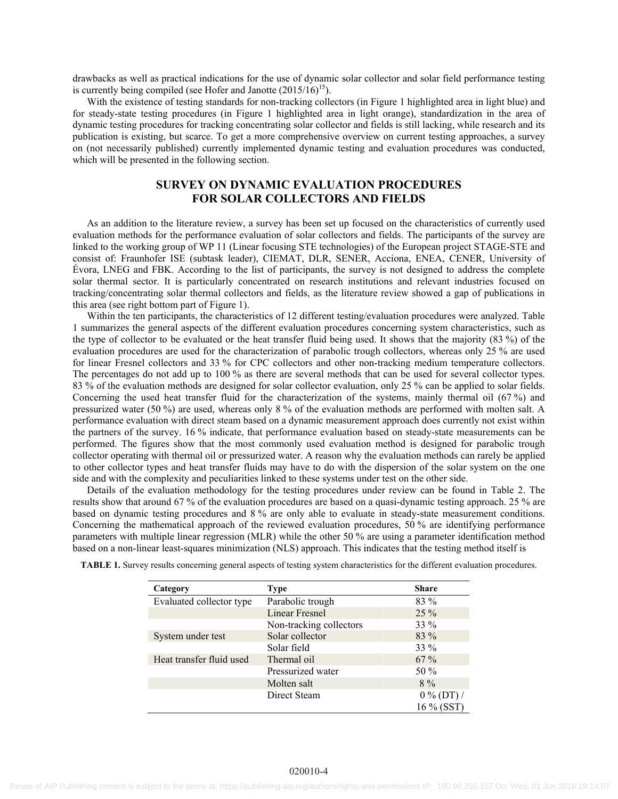drawbacks as well as practical indications for the use of dynamic solar collector and solar field performance testing is currently being compiled (see Hofer and Janotte  $(2015/16)^{15}$ ).

With the existence of testing standards for non-tracking collectors (in Figure 1 highlighted area in light blue) and for steady-state testing procedures (in Figure 1 highlighted area in light orange), standardization in the area of dynamic testing procedures for tracking concentrating solar collector and fields is still lacking, while research and its publication is existing, but scarce. To get a more comprehensive overview on current testing approaches, a survey on (not necessarily published) currently implemented dynamic testing and evaluation procedures was conducted, which will be presented in the following section.

# **SURVEY ON DYNAMIC EVALUATION PROCEDURES FOR SOLAR COLLECTORS AND FIELDS**

As an addition to the literature review, a survey has been set up focused on the characteristics of currently used evaluation methods for the performance evaluation of solar collectors and fields. The participants of the survey are linked to the working group of WP 11 (Linear focusing STE technologies) of the European project STAGE-STE and consist of: Fraunhofer ISE (subtask leader), CIEMAT, DLR, SENER, Acciona, ENEA, CENER, University of Évora, LNEG and FBK. According to the list of participants, the survey is not designed to address the complete solar thermal sector. It is particularly concentrated on research institutions and relevant industries focused on tracking/concentrating solar thermal collectors and fields, as the literature review showed a gap of publications in this area (see right bottom part of Figure 1).

Within the ten participants, the characteristics of 12 different testing/evaluation procedures were analyzed. Table 1 summarizes the general aspects of the different evaluation procedures concerning system characteristics, such as the type of collector to be evaluated or the heat transfer fluid being used. It shows that the majority (83 %) of the evaluation procedures are used for the characterization of parabolic trough collectors, whereas only 25 % are used for linear Fresnel collectors and 33 % for CPC collectors and other non-tracking medium temperature collectors. The percentages do not add up to 100 % as there are several methods that can be used for several collector types. 83 % of the evaluation methods are designed for solar collector evaluation, only 25 % can be applied to solar fields. Concerning the used heat transfer fluid for the characterization of the systems, mainly thermal oil (67 %) and pressurized water (50 %) are used, whereas only 8 % of the evaluation methods are performed with molten salt. A performance evaluation with direct steam based on a dynamic measurement approach does currently not exist within the partners of the survey. 16 % indicate, that performance evaluation based on steady-state measurements can be performed. The figures show that the most commonly used evaluation method is designed for parabolic trough collector operating with thermal oil or pressurized water. A reason why the evaluation methods can rarely be applied to other collector types and heat transfer fluids may have to do with the dispersion of the solar system on the one side and with the complexity and peculiarities linked to these systems under test on the other side.

Details of the evaluation methodology for the testing procedures under review can be found in Table 2. The results show that around 67 % of the evaluation procedures are based on a quasi-dynamic testing approach. 25 % are based on dynamic testing procedures and 8 % are only able to evaluate in steady-state measurement conditions. Concerning the mathematical approach of the reviewed evaluation procedures, 50 % are identifying performance parameters with multiple linear regression (MLR) while the other 50 % are using a parameter identification method based on a non-linear least-squares minimization (NLS) approach. This indicates that the testing method itself is

| Category                 | Type                    | <b>Share</b> |
|--------------------------|-------------------------|--------------|
| Evaluated collector type | Parabolic trough        | 83 %         |
|                          | <b>Linear Fresnel</b>   | $25\%$       |
|                          | Non-tracking collectors | 33 %         |
| System under test        | Solar collector         | $83\%$       |
|                          | Solar field             | 33 %         |
| Heat transfer fluid used | Thermal oil             | $67\%$       |
|                          | Pressurized water       | 50 $%$       |
|                          | Molten salt             | $8\%$        |
|                          | Direct Steam            | $0\%$ (DT) / |
|                          |                         | 16 % (SST)   |

**TABLE 1.** Survey results concerning general aspects of testing system characteristics for the different evaluation procedures.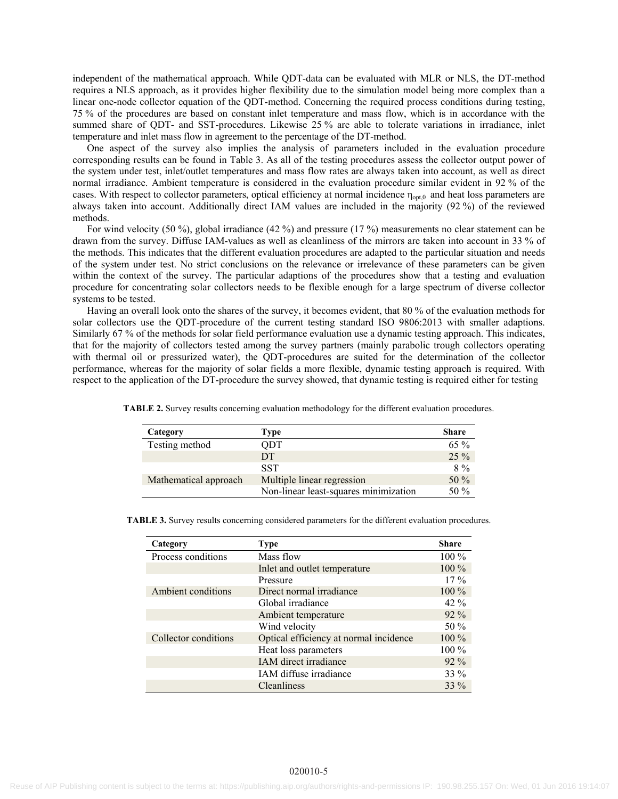independent of the mathematical approach. While QDT-data can be evaluated with MLR or NLS, the DT-method requires a NLS approach, as it provides higher flexibility due to the simulation model being more complex than a linear one-node collector equation of the QDT-method. Concerning the required process conditions during testing, 75 % of the procedures are based on constant inlet temperature and mass flow, which is in accordance with the summed share of QDT- and SST-procedures. Likewise 25 % are able to tolerate variations in irradiance, inlet temperature and inlet mass flow in agreement to the percentage of the DT-method.

One aspect of the survey also implies the analysis of parameters included in the evaluation procedure corresponding results can be found in Table 3. As all of the testing procedures assess the collector output power of the system under test, inlet/outlet temperatures and mass flow rates are always taken into account, as well as direct normal irradiance. Ambient temperature is considered in the evaluation procedure similar evident in 92 % of the cases. With respect to collector parameters, optical efficiency at normal incidence  $\eta_{opt,0}$  and heat loss parameters are always taken into account. Additionally direct IAM values are included in the majority (92 %) of the reviewed methods.

For wind velocity (50 %), global irradiance (42 %) and pressure (17 %) measurements no clear statement can be drawn from the survey. Diffuse IAM-values as well as cleanliness of the mirrors are taken into account in 33 % of the methods. This indicates that the different evaluation procedures are adapted to the particular situation and needs of the system under test. No strict conclusions on the relevance or irrelevance of these parameters can be given within the context of the survey. The particular adaptions of the procedures show that a testing and evaluation procedure for concentrating solar collectors needs to be flexible enough for a large spectrum of diverse collector systems to be tested.

Having an overall look onto the shares of the survey, it becomes evident, that 80 % of the evaluation methods for solar collectors use the QDT-procedure of the current testing standard ISO 9806:2013 with smaller adaptions. Similarly 67 % of the methods for solar field performance evaluation use a dynamic testing approach. This indicates, that for the majority of collectors tested among the survey partners (mainly parabolic trough collectors operating with thermal oil or pressurized water), the QDT-procedures are suited for the determination of the collector performance, whereas for the majority of solar fields a more flexible, dynamic testing approach is required. With respect to the application of the DT-procedure the survey showed, that dynamic testing is required either for testing

| Category              | Type                                  | <b>Share</b> |
|-----------------------|---------------------------------------|--------------|
| Testing method        | ODT                                   | $65\%$       |
|                       | DT                                    | 25 %         |
|                       | <b>SST</b>                            | $8\%$        |
| Mathematical approach | Multiple linear regression            | 50 %         |
|                       | Non-linear least-squares minimization | 50 $%$       |

**TABLE 2.** Survey results concerning evaluation methodology for the different evaluation procedures.

| <b>TABLE 3.</b> Survey results concerning considered parameters for the different evaluation procedures. |  |  |  |  |
|----------------------------------------------------------------------------------------------------------|--|--|--|--|
|                                                                                                          |  |  |  |  |

| Category             | <b>Type</b>                            | <b>Share</b> |
|----------------------|----------------------------------------|--------------|
| Process conditions   | Mass flow                              | $100\%$      |
|                      | Inlet and outlet temperature           | $100\%$      |
|                      | Pressure                               | $17\%$       |
| Ambient conditions   | Direct normal irradiance               | $100\%$      |
|                      | Global irradiance                      | 42 %         |
|                      | Ambient temperature                    | $92\%$       |
|                      | Wind velocity                          | 50 $%$       |
| Collector conditions | Optical efficiency at normal incidence | $100\%$      |
|                      | Heat loss parameters                   | $100\%$      |
|                      | IAM direct irradiance                  | $92\%$       |
|                      | IAM diffuse irradiance                 | $33\%$       |
|                      | <b>Cleanliness</b>                     | $33\%$       |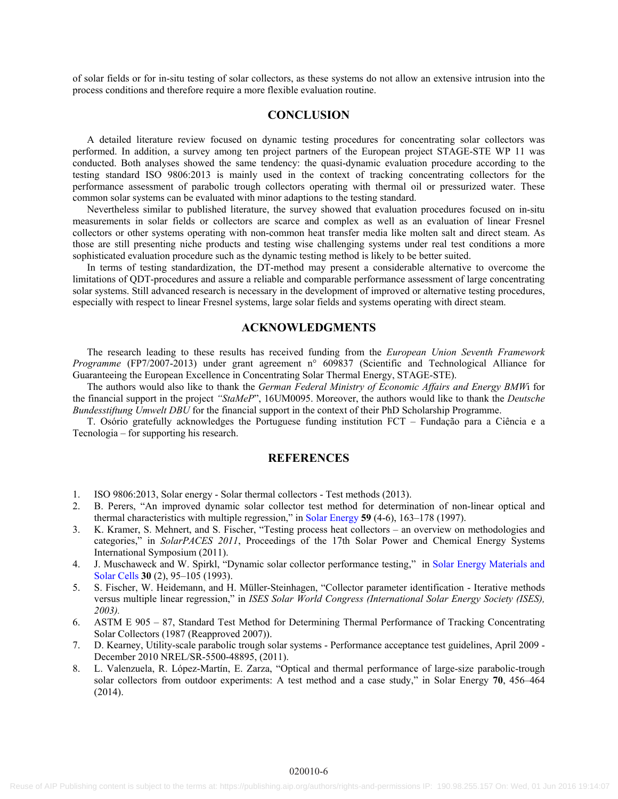of solar fields or for in-situ testing of solar collectors, as these systems do not allow an extensive intrusion into the process conditions and therefore require a more flexible evaluation routine.

## **CONCLUSION**

A detailed literature review focused on dynamic testing procedures for concentrating solar collectors was performed. In addition, a survey among ten project partners of the European project STAGE-STE WP 11 was conducted. Both analyses showed the same tendency: the quasi-dynamic evaluation procedure according to the testing standard ISO 9806:2013 is mainly used in the context of tracking concentrating collectors for the performance assessment of parabolic trough collectors operating with thermal oil or pressurized water. These common solar systems can be evaluated with minor adaptions to the testing standard.

Nevertheless similar to published literature, the survey showed that evaluation procedures focused on in-situ measurements in solar fields or collectors are scarce and complex as well as an evaluation of linear Fresnel collectors or other systems operating with non-common heat transfer media like molten salt and direct steam. As those are still presenting niche products and testing wise challenging systems under real test conditions a more sophisticated evaluation procedure such as the dynamic testing method is likely to be better suited.

In terms of testing standardization, the DT-method may present a considerable alternative to overcome the limitations of QDT-procedures and assure a reliable and comparable performance assessment of large concentrating solar systems. Still advanced research is necessary in the development of improved or alternative testing procedures, especially with respect to linear Fresnel systems, large solar fields and systems operating with direct steam.

## **ACKNOWLEDGMENTS**

The research leading to these results has received funding from the *European Union Seventh Framework Programme* (FP7/2007-2013) under grant agreement n° 609837 (Scientific and Technological Alliance for Guaranteeing the European Excellence in Concentrating Solar Thermal Energy, STAGE-STE).

The authors would also like to thank the *German Federal Ministry of Economic Affairs and Energy BMW*i for the financial support in the project *"StaMeP*", 16UM0095. Moreover, the authors would like to thank the *Deutsche Bundesstiftung Umwelt DBU* for the financial support in the context of their PhD Scholarship Programme.

T. Osório gratefully acknowledges the Portuguese funding institution FCT – Fundação para a Ciência e a Tecnologia – for supporting his research.

#### **REFERENCES**

- 1. ISO 9806:2013, Solar energy Solar thermal collectors Test methods (2013).
- 2. B. Perers, "An improved dynamic solar collector test method for determination of non-linear optical and thermal characteristics with multiple regression," in [Solar Energy](http://dx.doi.org/10.1016/S0038-092X(97)00147-3) **59** (4-6), 163–178 (1997).
- 3. K. Kramer, S. Mehnert, and S. Fischer, "Testing process heat collectors an overview on methodologies and categories," in *SolarPACES 2011*, Proceedings of the 17th Solar Power and Chemical Energy Systems International Symposium (2011).
- 4. J. Muschaweck and W. Spirkl, "Dynamic solar collector performance testing," in [Solar Energy Materials and](http://dx.doi.org/10.1016/0927-0248(93)90011-Q) [Solar Cells](http://dx.doi.org/10.1016/0927-0248(93)90011-Q) **30** (2), 95–105 (1993).
- 5. S. Fischer, W. Heidemann, and H. Müller-Steinhagen, "Collector parameter identification Iterative methods versus multiple linear regression," in *ISES Solar World Congress (International Solar Energy Society (ISES), 2003).*
- 6. ASTM E 905 87, Standard Test Method for Determining Thermal Performance of Tracking Concentrating Solar Collectors (1987 (Reapproved 2007)).
- 7. D. Kearney, Utility-scale parabolic trough solar systems Performance acceptance test guidelines, April 2009 December 2010 NREL/SR-5500-48895, (2011).
- 8. L. Valenzuela, R. López-Martín, E. Zarza, "Optical and thermal performance of large-size parabolic-trough solar collectors from outdoor experiments: A test method and a case study," in Solar Energy **70**, 456–464 (2014).